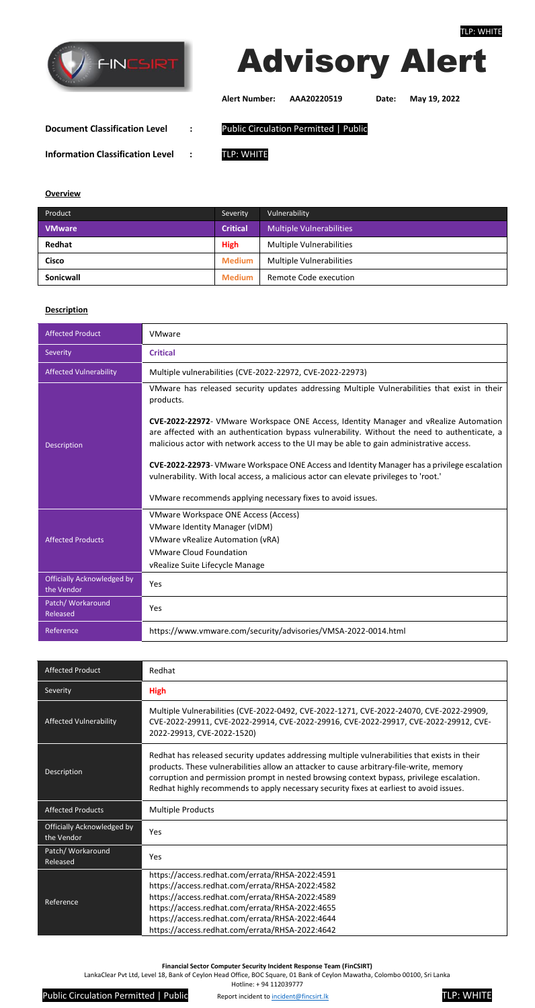



**Alert Number: AAA20220519 Date: May 19, 2022**

**Document Classification Level :** Public Circulation Permitted | Public

**Information Classification Level :** TLP: WHITE

**Overview**

| Product       | Severity        | Vulnerability                   |
|---------------|-----------------|---------------------------------|
| <b>VMware</b> | <b>Critical</b> | <b>Multiple Vulnerabilities</b> |
| Redhat        | <b>High</b>     | <b>Multiple Vulnerabilities</b> |
| Cisco         | <b>Medium</b>   | <b>Multiple Vulnerabilities</b> |
| Sonicwall     | <b>Medium</b>   | Remote Code execution           |

## **Description**

| <b>Affected Product</b>                         | VMware                                                                                                                                                                                                                                                                             |
|-------------------------------------------------|------------------------------------------------------------------------------------------------------------------------------------------------------------------------------------------------------------------------------------------------------------------------------------|
| Severity                                        | <b>Critical</b>                                                                                                                                                                                                                                                                    |
| <b>Affected Vulnerability</b>                   | Multiple vulnerabilities (CVE-2022-22972, CVE-2022-22973)                                                                                                                                                                                                                          |
| <b>Description</b>                              | VMware has released security updates addressing Multiple Vulnerabilities that exist in their<br>products.                                                                                                                                                                          |
|                                                 | CVE-2022-22972- VMware Workspace ONE Access, Identity Manager and vRealize Automation<br>are affected with an authentication bypass vulnerability. Without the need to authenticate, a<br>malicious actor with network access to the UI may be able to gain administrative access. |
|                                                 | CVE-2022-22973-VMware Workspace ONE Access and Identity Manager has a privilege escalation<br>vulnerability. With local access, a malicious actor can elevate privileges to 'root.'                                                                                                |
|                                                 | VMware recommends applying necessary fixes to avoid issues.                                                                                                                                                                                                                        |
| <b>Affected Products</b>                        | VMware Workspace ONE Access (Access)                                                                                                                                                                                                                                               |
|                                                 | <b>VMware Identity Manager (vIDM)</b>                                                                                                                                                                                                                                              |
|                                                 | <b>VMware vRealize Automation (vRA)</b>                                                                                                                                                                                                                                            |
|                                                 | <b>VMware Cloud Foundation</b>                                                                                                                                                                                                                                                     |
|                                                 | vRealize Suite Lifecycle Manage                                                                                                                                                                                                                                                    |
| <b>Officially Acknowledged by</b><br>the Vendor | Yes                                                                                                                                                                                                                                                                                |
| Patch/ Workaround<br>Released                   | Yes                                                                                                                                                                                                                                                                                |
| Reference                                       | https://www.vmware.com/security/advisories/VMSA-2022-0014.html                                                                                                                                                                                                                     |

| <b>Affected Product</b>                  | Redhat                                                                                                                                                                                                                                                                                                                                                                           |
|------------------------------------------|----------------------------------------------------------------------------------------------------------------------------------------------------------------------------------------------------------------------------------------------------------------------------------------------------------------------------------------------------------------------------------|
| Severity                                 | <b>High</b>                                                                                                                                                                                                                                                                                                                                                                      |
| <b>Affected Vulnerability</b>            | Multiple Vulnerabilities (CVE-2022-0492, CVE-2022-1271, CVE-2022-24070, CVE-2022-29909,<br>CVE-2022-29911, CVE-2022-29914, CVE-2022-29916, CVE-2022-29917, CVE-2022-29912, CVE-<br>2022-29913, CVE-2022-1520)                                                                                                                                                                    |
| Description                              | Redhat has released security updates addressing multiple vulnerabilities that exists in their<br>products. These vulnerabilities allow an attacker to cause arbitrary-file-write, memory<br>corruption and permission prompt in nested browsing context bypass, privilege escalation.<br>Redhat highly recommends to apply necessary security fixes at earliest to avoid issues. |
| <b>Affected Products</b>                 | <b>Multiple Products</b>                                                                                                                                                                                                                                                                                                                                                         |
| Officially Acknowledged by<br>the Vendor | Yes                                                                                                                                                                                                                                                                                                                                                                              |
| Patch/ Workaround<br>Released            | Yes                                                                                                                                                                                                                                                                                                                                                                              |
| Reference                                | https://access.redhat.com/errata/RHSA-2022:4591<br>https://access.redhat.com/errata/RHSA-2022:4582<br>https://access.redhat.com/errata/RHSA-2022:4589<br>https://access.redhat.com/errata/RHSA-2022:4655<br>https://access.redhat.com/errata/RHSA-2022:4644<br>https://access.redhat.com/errata/RHSA-2022:4642                                                                   |

**Financial Sector Computer Security Incident Response Team (FinCSIRT)**

LankaClear Pvt Ltd, Level 18, Bank of Ceylon Head Office, BOC Square, 01 Bank of Ceylon Mawatha, Colombo 00100, Sri Lanka Hotline: + 94 112039777